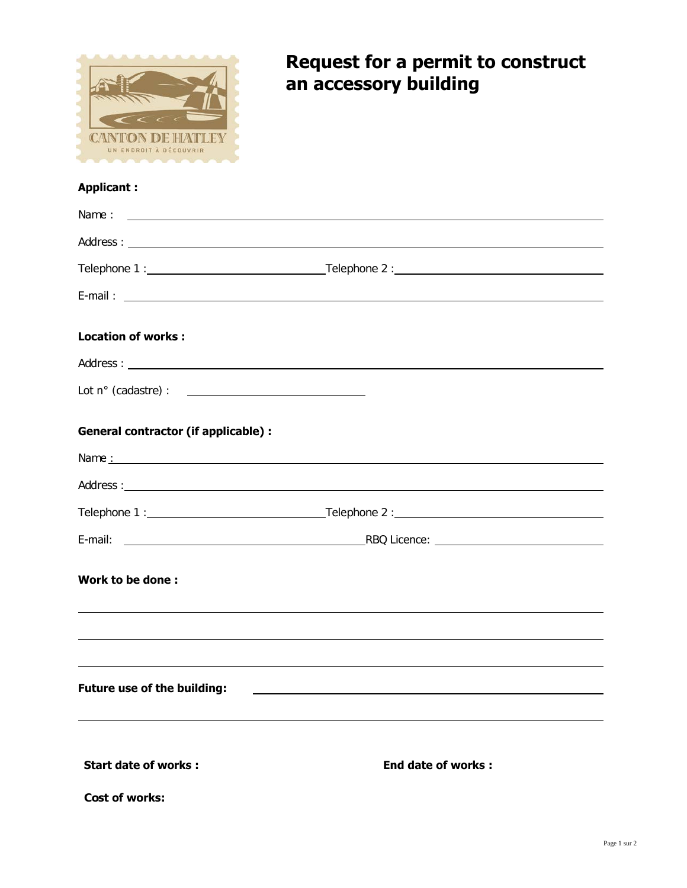

## **Request for a permit to construct an accessory building**

## **Applicant :**

| <b>Location of works:</b>                  |                                                                                                                          |
|--------------------------------------------|--------------------------------------------------------------------------------------------------------------------------|
|                                            |                                                                                                                          |
|                                            |                                                                                                                          |
| <b>General contractor (if applicable):</b> |                                                                                                                          |
|                                            |                                                                                                                          |
|                                            |                                                                                                                          |
|                                            |                                                                                                                          |
|                                            |                                                                                                                          |
| Work to be done:                           | <u> 1999 - Johann Harry Harry Harry Harry Harry Harry Harry Harry Harry Harry Harry Harry Harry Harry Harry Harry</u>    |
|                                            | <u> 1999 - Jan Barbara de Santo de Santo de Santo de Santo de Santo de Santo de Santo de Santo de Santo de Santo</u>     |
| Future use of the building:                | <u> 1989 - Johann Stoff, amerikansk politiker (d. 1989)</u><br><u> 1980 - Johann Barnett, fransk politiker (d. 1980)</u> |
|                                            |                                                                                                                          |
| <b>Start date of works:</b>                | End date of works:                                                                                                       |
| Cost of works:                             |                                                                                                                          |